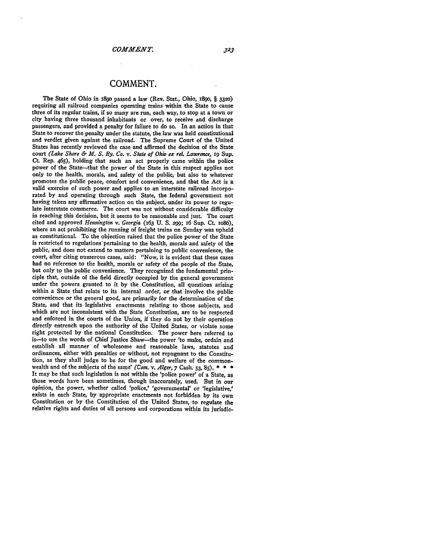## **COMMENT.**

The State of Ohio in **M89o** passed a law (Rev. Stat., Ohio, **i89o,** *§ 3320)* requiring all railroad companies operating trains within the State to cause three of its regular trains, if so many are run, each way, to stop at a town or city having three thousand inhabitants or over, to receive and discharge passengers, and provided a penalty for failure to do so. In an action in that State to recover the penalty under the statute, the law was held constitutional and verdict given against the railroad. The Supreme Court of the United States has recently reviewed the case and affirmed the decision of the State court *(Lake Shore & M. S. Ry. Co. v. State of Ohio ex rel. Lawrence,* **ig** Sup. Ct. Rep. 465), holding that such an act properly came within the police power of the State-that the power of the State in this respect applies not only to the health, morals, and safety of the public, but also to whatever promotes the public peace, comfort and convenience, and that the Act is a valid exercise of such power and applies to an interstate railroad incorporated **by** and operating through such State, the federal government not having taken any affirmative action on the subject, under its power to regulate interstate commerce. The court was not without considerable difficulty in reaching this decision, but it seems to be reasonable and just. The court cited and approved *Hennington v. Georgia* (163 **U. S. 299;** i6 Sup. Ct. io86), where an act prohibiting the running of freight trains on Sunday was upheld as constitutional. To the objection raised that the police power of the State is restricted to regulations'pertaining to the health, morals and safety of the public, and does not extend to matters pertaining to public convenience, the court, after citing numerous cases, said: "Now, it is evident that these cases had no reference to the health, morals or safety of the people of the State. but only to the public convenience. They recognized the fundamental principle that, outside of the field directly occupied **by** the general government under the powers granted to it **by** the Constitution, all questions arising within a State that relate to its internal order, or that involve the public convenience or the general good, are primarily for the determination of the State, and that its legislative enactments relating to those subjects, and which are not inconsistent with the State Constitution, are to be respected and enforced in the courts of the Union, if they do not **by** their operation directly entrench upon the authority of the United States, or violate some right protected **by** the national Constitution. The power here referred to is-to use the words of Chief Justice Shaw-the power 'to make, ordain and establish all manner of wholesome and reasonable laws, statutes and ordinances, either with penalties or without, not repugnant to the Constitution, as they shall judge to be for the good and welfare of the common- wealth and of the subjects of the same' *(Com. v. Alger,* **7** Cash. **53, 85). \* \* \*** It may be that such legislation is not within the 'police power' of a State, as those words have been sometimes, though inaccurately, used. But in our opinion, the power, whether called 'police,' 'governmental' or 'legislative,' exists in each State, **by** appropriate enactments not forbidden **by** its own Constitution or by the Constitution of the United States, to regulate the relative rights and duties of all persons and corporations within its jurisdic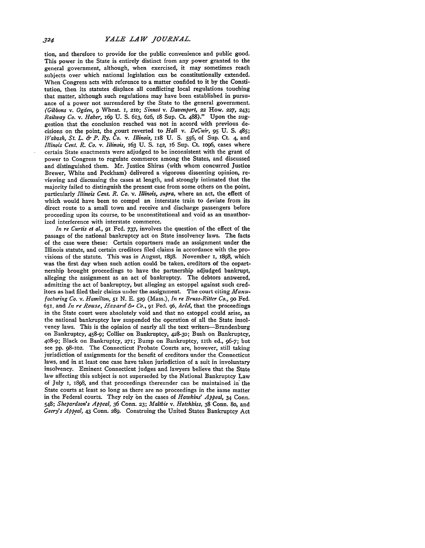tion, and therefore to provide for the public convenience and public good. This power in the State is entirely distinct from any power granted to the general government, although, when exercised, it may sometimes reach subjects over which national legislation can be constitutionally extended. When Congress acts with reference to a matter confided to it **by** the Constitution, then its statutes displace all conflicting local regulations touching that matter, although such regulations may have been established in pursuance of a power not surrendered **by** the State to the general government. *(Gibbons v. Ogden, 9* Wheat. **I, 2io;** *Sinnot v. Davenport,* **22** How. **227, 243;** *Railway Co. v. Haber,* **I69 U. S.** 613, **626, x8** Sup. **Ct.** 488)." Upon the suggestion that the conclusion reached was not in accord with previous decisions on the point, the ,court reverted to *Hall v. DeCuir,* **95 U. S.** 485; *Wabash, St. L. & P. Ry. Co. v. Illinois,* **ii8 U. S. 556,** of Sup. Ct. **4,** and *Illinois Cent. R. Co. v. Illinois,* 163 **U. S. i42,** 16 Sup. Ct. **io96,** cases where certain State enactments were adjudged to be inconsistent with the grant of power to Congress to regulate commerce among the States, and discussed and distinguished them. Mr. Justice Shiras (with whom concurred Justice Brewer, White and Peckham) delivered a vigorous dissenting opinion, reviewing and discussing the cases at length, and strongly intimated that the majority failed to distinguish the present case from some others on the point, particularly *Illinois Cent. R. Co. v. Illinois, supra,* where an act, the effect of which would have been to compel an interstate train to deviate from its direct route to a small town and receive and discharge passengers before proceeding upon its course, to be unconstitutional and void as an unauthorized interference with interstate commerce.

*In re Curtis et al.,* **91** Fed. **737,** involves the question of the effect of the passage of the national bankruptcy act on State insolvency laws. The facts of the case were these: Certain copartners made an assignment under the Illinois statute, and certain creditors filed claims in accordance with the provisions of the statute. This was in August, **1898.** November **I, 1898,** which was the first day when such action could be taken, creditors of the copartnership brought proceedings to have the partnership adjudged bankrupt, alleging the assignment as an act of bankruptcy. The debtors answered, admitting the act of bankruptcy, but alleging an estoppel against such creditors as had filed their claims under the assignment. The court citing *Aanufacturing Co. v. Hamilton,* **5r N. E. 529** (Mass.), *In re Bruss-Ritter Co., go* Fed. **651,** and *In re Rouse, Hazard &- Co.,* **91** Fed. **96, held,** that the proceedings in the State court were absolutely void and that no estoppel could arise, as the national bankruptcy law suspended the operation of all the State insolvency laws. This is the opinion of nearly all the text writers-Brandenburg on Bankruptcy, 458-9; Collier on Bankruptcy, 428-30; Bush on Bankruptcy, 408-9; Black on Bankruptcy, **271;** Bump on Bankruptcy, uth ed., **96-7;** but see **pp. 98-roz.** The Connecticut Probate Courts are, however, still taking jurisdiction of assignments for the benefit of creditors under the Connecticut laws, and in at least one case have taken jurisdiction of a suit in involuntary insolvency. Eminent Connecticut judges and lawyers believe that the State law affecting this subject is not superseded **by** the National Bankruptcy Law of July **1,** i898, and that proceedings thereunder can be maintained in' the State courts at least so long as there are no proceedings in the same matter in the Federal courts. They rely **bn** the cases of *Hawkins' Appeal,* 34 Conn. 548; *Shepardson's Appeal,* **36** Conn. **23;** *Maltbie v. Hotchkiss,* **38** Conn. **80,** and *Geery's Appeal,* 43 Conn. **289.** Construing the United States Bankruptcy Act